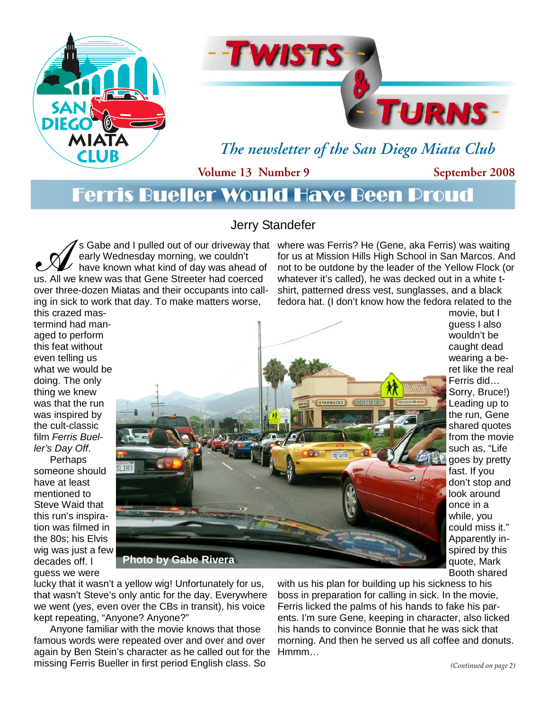



## *The newsletter of the San Diego Miata Club*

**Volume 13 Number 9** 

**September 2008** 

## Ferris Bueller Would Have Been Proud

### Jerry Standefer

S Gabe and I pulled out of our driveway that<br>early Wednesday morning, we couldn't<br>us. All we knew was that Gene Streeter had coerced early Wednesday morning, we couldn't have known what kind of day was ahead of us. All we knew was that Gene Streeter had coerced over three-dozen Miatas and their occupants into calling in sick to work that day. To make matters worse, this crazed mas-

s Gabe and I pulled out of our driveway that where was Ferris? He (Gene, aka Ferris) was waiting for us at Mission Hills High School in San Marcos. And not to be outdone by the leader of the Yellow Flock (or whatever it's called), he was decked out in a white tshirt, patterned dress vest, sunglasses, and a black fedora hat. (I don't know how the fedora related to the

termind had managed to perform this feat without even telling us what we would be doing. The only thing we knew was that the run was inspired by the cult-classic film *Ferris Bueller's Day Off*. **Perhaps** 

someone should have at least mentioned to Steve Waid that this run's inspiration was filmed in the 80s; his Elvis wig was just a few decades off. I guess we were



movie, but I guess I also wouldn't be caught dead wearing a beret like the real Ferris did… Sorry, Bruce!) Leading up to the run, Gene shared quotes from the movie such as, "Life goes by pretty fast. If you don't stop and look around once in a while, you could miss it." Apparently inspired by this quote, Mark Booth shared

lucky that it wasn't a yellow wig! Unfortunately for us, that wasn't Steve's only antic for the day. Everywhere we went (yes, even over the CBs in transit), his voice kept repeating, "Anyone? Anyone?"

Anyone familiar with the movie knows that those famous words were repeated over and over and over again by Ben Stein's character as he called out for the missing Ferris Bueller in first period English class. So

with us his plan for building up his sickness to his boss in preparation for calling in sick. In the movie, Ferris licked the palms of his hands to fake his parents. I'm sure Gene, keeping in character, also licked his hands to convince Bonnie that he was sick that morning. And then he served us all coffee and donuts. Hmmm…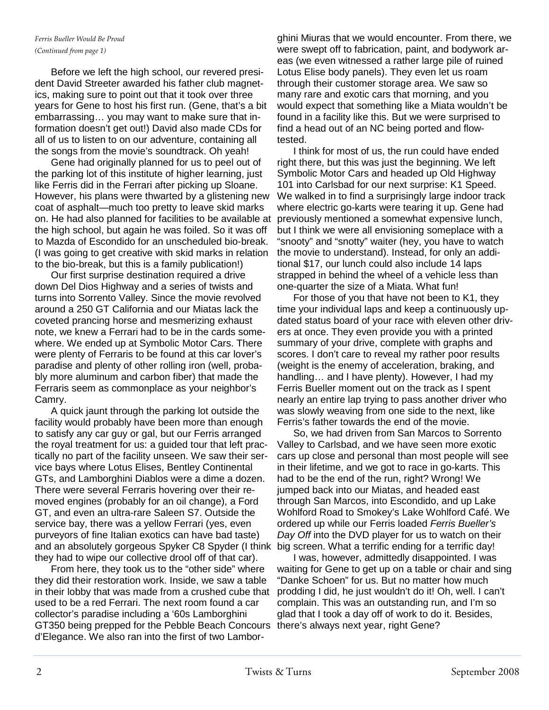#### *Ferris Bueller Would Be Proud (Continued from page 1)*

Before we left the high school, our revered president David Streeter awarded his father club magnetics, making sure to point out that it took over three years for Gene to host his first run. (Gene, that's a bit embarrassing… you may want to make sure that information doesn't get out!) David also made CDs for all of us to listen to on our adventure, containing all the songs from the movie's soundtrack. Oh yeah!

Gene had originally planned for us to peel out of the parking lot of this institute of higher learning, just like Ferris did in the Ferrari after picking up Sloane. However, his plans were thwarted by a glistening new coat of asphalt—much too pretty to leave skid marks on. He had also planned for facilities to be available at the high school, but again he was foiled. So it was off to Mazda of Escondido for an unscheduled bio-break. (I was going to get creative with skid marks in relation to the bio-break, but this is a family publication!)

Our first surprise destination required a drive down Del Dios Highway and a series of twists and turns into Sorrento Valley. Since the movie revolved around a 250 GT California and our Miatas lack the coveted prancing horse and mesmerizing exhaust note, we knew a Ferrari had to be in the cards somewhere. We ended up at Symbolic Motor Cars. There were plenty of Ferraris to be found at this car lover's paradise and plenty of other rolling iron (well, probably more aluminum and carbon fiber) that made the Ferraris seem as commonplace as your neighbor's Camry.

A quick jaunt through the parking lot outside the facility would probably have been more than enough to satisfy any car guy or gal, but our Ferris arranged the royal treatment for us: a guided tour that left practically no part of the facility unseen. We saw their service bays where Lotus Elises, Bentley Continental GTs, and Lamborghini Diablos were a dime a dozen. There were several Ferraris hovering over their removed engines (probably for an oil change), a Ford GT, and even an ultra-rare Saleen S7. Outside the service bay, there was a yellow Ferrari (yes, even purveyors of fine Italian exotics can have bad taste) and an absolutely gorgeous Spyker C8 Spyder (I think big screen. What a terrific ending for a terrific day! they had to wipe our collective drool off of that car).

From here, they took us to the "other side" where they did their restoration work. Inside, we saw a table in their lobby that was made from a crushed cube that used to be a red Ferrari. The next room found a car collector's paradise including a '60s Lamborghini GT350 being prepped for the Pebble Beach Concours there's always next year, right Gene? d'Elegance. We also ran into the first of two Lambor-

ghini Miuras that we would encounter. From there, we were swept off to fabrication, paint, and bodywork areas (we even witnessed a rather large pile of ruined Lotus Elise body panels). They even let us roam through their customer storage area. We saw so many rare and exotic cars that morning, and you would expect that something like a Miata wouldn't be found in a facility like this. But we were surprised to find a head out of an NC being ported and flowtested.

I think for most of us, the run could have ended right there, but this was just the beginning. We left Symbolic Motor Cars and headed up Old Highway 101 into Carlsbad for our next surprise: K1 Speed. We walked in to find a surprisingly large indoor track where electric go-karts were tearing it up. Gene had previously mentioned a somewhat expensive lunch, but I think we were all envisioning someplace with a "snooty" and "snotty" waiter (hey, you have to watch the movie to understand). Instead, for only an additional \$17, our lunch could also include 14 laps strapped in behind the wheel of a vehicle less than one-quarter the size of a Miata. What fun!

For those of you that have not been to K1, they time your individual laps and keep a continuously updated status board of your race with eleven other drivers at once. They even provide you with a printed summary of your drive, complete with graphs and scores. I don't care to reveal my rather poor results (weight is the enemy of acceleration, braking, and handling… and I have plenty). However, I had my Ferris Bueller moment out on the track as I spent nearly an entire lap trying to pass another driver who was slowly weaving from one side to the next, like Ferris's father towards the end of the movie.

So, we had driven from San Marcos to Sorrento Valley to Carlsbad, and we have seen more exotic cars up close and personal than most people will see in their lifetime, and we got to race in go-karts. This had to be the end of the run, right? Wrong! We jumped back into our Miatas, and headed east through San Marcos, into Escondido, and up Lake Wohlford Road to Smokey's Lake Wohlford Café. We ordered up while our Ferris loaded *Ferris Bueller's Day Off* into the DVD player for us to watch on their

I was, however, admittedly disappointed. I was waiting for Gene to get up on a table or chair and sing "Danke Schoen" for us. But no matter how much prodding I did, he just wouldn't do it! Oh, well. I can't complain. This was an outstanding run, and I'm so glad that I took a day off of work to do it. Besides,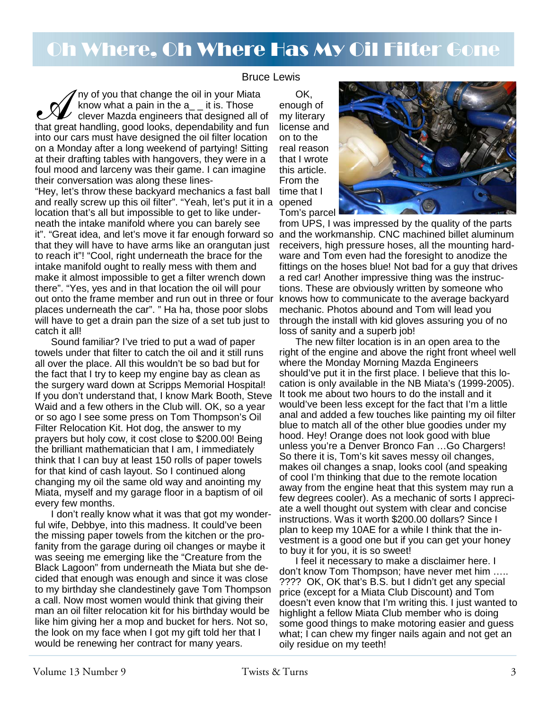## Oh Where, Oh Where Has My Oil Filter Gone

#### Bruce Lewis

A ny of you that change the oil in your Miata<br>
know what a pain in the  $a_{-}$  it is. Those<br>
that great handling, good looks, dependability and fu  $\gamma$  ny of you that change the oil in your Miata<br>know what a pain in the  $a_{-}$  it is. Those clever Mazda engineers that designed all of that great handling, good looks, dependability and fun into our cars must have designed the oil filter location on a Monday after a long weekend of partying! Sitting at their drafting tables with hangovers, they were in a foul mood and larceny was their game. I can imagine their conversation was along these lines-

"Hey, let's throw these backyard mechanics a fast ball and really screw up this oil filter". "Yeah, let's put it in a opened location that's all but impossible to get to like underneath the intake manifold where you can barely see it". "Great idea, and let's move it far enough forward so that they will have to have arms like an orangutan just to reach it"! "Cool, right underneath the brace for the intake manifold ought to really mess with them and make it almost impossible to get a filter wrench down there". "Yes, yes and in that location the oil will pour out onto the frame member and run out in three or four places underneath the car". " Ha ha, those poor slobs will have to get a drain pan the size of a set tub just to catch it all!

 Sound familiar? I've tried to put a wad of paper towels under that filter to catch the oil and it still runs all over the place. All this wouldn't be so bad but for the fact that I try to keep my engine bay as clean as the surgery ward down at Scripps Memorial Hospital! If you don't understand that, I know Mark Booth, Steve Waid and a few others in the Club will. OK, so a year or so ago I see some press on Tom Thompson's Oil Filter Relocation Kit. Hot dog, the answer to my prayers but holy cow, it cost close to \$200.00! Being the brilliant mathematician that I am, I immediately think that I can buy at least 150 rolls of paper towels for that kind of cash layout. So I continued along changing my oil the same old way and anointing my Miata, myself and my garage floor in a baptism of oil every few months.

would be renewing her contract for many years. I don't really know what it was that got my wonderful wife, Debbye, into this madness. It could've been the missing paper towels from the kitchen or the profanity from the garage during oil changes or maybe it was seeing me emerging like the "Creature from the Black Lagoon" from underneath the Miata but she decided that enough was enough and since it was close to my birthday she clandestinely gave Tom Thompson a call. Now most women would think that giving their man an oil filter relocation kit for his birthday would be like him giving her a mop and bucket for hers. Not so, the look on my face when I got my gift told her that I

 OK, enough of my literary license and on to the real reason that I wrote this article. From the time that I Tom's parcel



let's move it far enough forward so and the workmanship. CNC machined billet aluminum from UPS, I was impressed by the quality of the parts receivers, high pressure hoses, all the mounting hardware and Tom even had the foresight to anodize the fittings on the hoses blue! Not bad for a guy that drives a red car! Another impressive thing was the instructions. These are obviously written by someone who knows how to communicate to the average backyard mechanic. Photos abound and Tom will lead you through the install with kid gloves assuring you of no loss of sanity and a superb job!

**Photo by Rainer Mueller**  It took me about two hours to do the install and it for where the Monday Morning Mazda Engineers The new filter location is in an open area to the right of the engine and above the right front wheel well should've put it in the first place. I believe that this location is only available in the NB Miata's (1999-2005). would've been less except for the fact that I'm a little anal and added a few touches like painting my oil filter blue to match all of the other blue goodies under my hood. Hey! Orange does not look good with blue unless you're a Denver Bronco Fan …Go Chargers! So there it is, Tom's kit saves messy oil changes, makes oil changes a snap, looks cool (and speaking of cool I'm thinking that due to the remote location away from the engine heat that this system may run a few degrees cooler). As a mechanic of sorts I appreciate a well thought out system with clear and concise instructions. Was it worth \$200.00 dollars? Since I plan to keep my 10AE for a while I think that the investment is a good one but if you can get your honey to buy it for you, it is so sweet!

 I feel it necessary to make a disclaimer here. I don't know Tom Thompson; have never met him ….. ???? OK, OK that's B.S. but I didn't get any special price (except for a Miata Club Discount) and Tom doesn't even know that I'm writing this. I just wanted to highlight a fellow Miata Club member who is doing some good things to make motoring easier and guess what; I can chew my finger nails again and not get an oily residue on my teeth!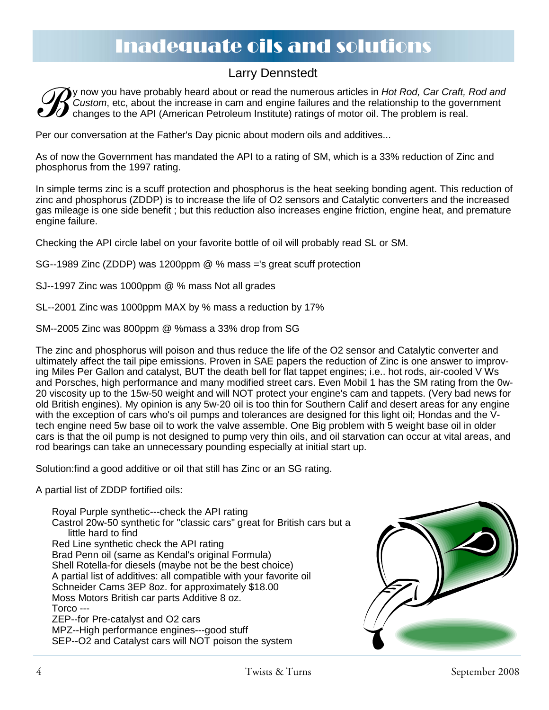# Inadequate oils and solutions

## Larry Dennstedt

By now you have probably heard about or read the numerous articles in *Hot Rod, Car Craft, Rod and Custom*, etc, about the increase in cam and engine failures and the relationship to the government changes to the API (Amer *Custom*, etc, about the increase in cam and engine failures and the relationship to the government changes to the API (American Petroleum Institute) ratings of motor oil. The problem is real.

Per our conversation at the Father's Day picnic about modern oils and additives...

As of now the Government has mandated the API to a rating of SM, which is a 33% reduction of Zinc and phosphorus from the 1997 rating.

In simple terms zinc is a scuff protection and phosphorus is the heat seeking bonding agent. This reduction of zinc and phosphorus (ZDDP) is to increase the life of O2 sensors and Catalytic converters and the increased gas mileage is one side benefit ; but this reduction also increases engine friction, engine heat, and premature engine failure.

Checking the API circle label on your favorite bottle of oil will probably read SL or SM.

SG--1989 Zinc (ZDDP) was 1200ppm @ % mass ='s great scuff protection

SJ--1997 Zinc was 1000ppm @ % mass Not all grades

SL--2001 Zinc was 1000ppm MAX by % mass a reduction by 17%

SM--2005 Zinc was 800ppm @ %mass a 33% drop from SG

The zinc and phosphorus will poison and thus reduce the life of the O2 sensor and Catalytic converter and ultimately affect the tail pipe emissions. Proven in SAE papers the reduction of Zinc is one answer to improving Miles Per Gallon and catalyst, BUT the death bell for flat tappet engines; i.e.. hot rods, air-cooled V Ws and Porsches, high performance and many modified street cars. Even Mobil 1 has the SM rating from the 0w-20 viscosity up to the 15w-50 weight and will NOT protect your engine's cam and tappets. (Very bad news for old British engines). My opinion is any 5w-20 oil is too thin for Southern Calif and desert areas for any engine with the exception of cars who's oil pumps and tolerances are designed for this light oil; Hondas and the Vtech engine need 5w base oil to work the valve assemble. One Big problem with 5 weight base oil in older cars is that the oil pump is not designed to pump very thin oils, and oil starvation can occur at vital areas, and rod bearings can take an unnecessary pounding especially at initial start up.

Solution:find a good additive or oil that still has Zinc or an SG rating.

A partial list of ZDDP fortified oils:

Royal Purple synthetic---check the API rating Castrol 20w-50 synthetic for "classic cars" great for British cars but a little hard to find Red Line synthetic check the API rating Brad Penn oil (same as Kendal's original Formula) Shell Rotella-for diesels (maybe not be the best choice) A partial list of additives: all compatible with your favorite oil Schneider Cams 3EP 8oz. for approximately \$18.00 Moss Motors British car parts Additive 8 oz. Torco --- ZEP--for Pre-catalyst and O2 cars MPZ--High performance engines---good stuff SEP--O2 and Catalyst cars will NOT poison the system

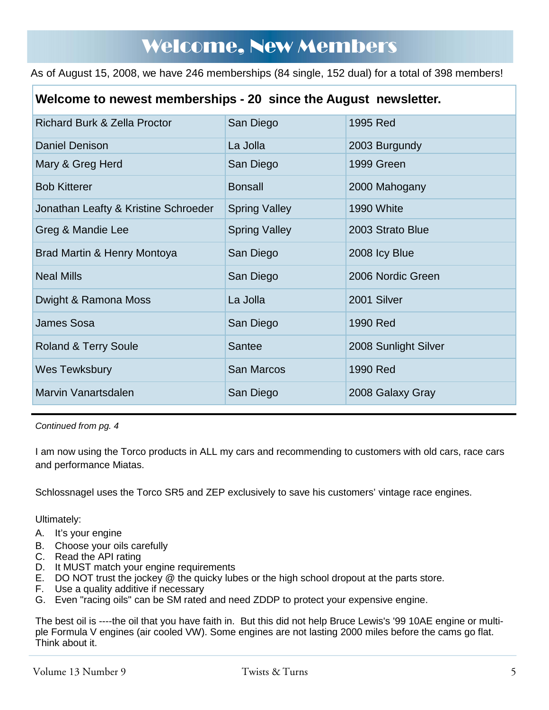# Welcome, New Members

As of August 15, 2008, we have 246 memberships (84 single, 152 dual) for a total of 398 members!

| Welcome to newest memberships - 20 since the August newsletter. |                      |                      |  |  |
|-----------------------------------------------------------------|----------------------|----------------------|--|--|
| <b>Richard Burk &amp; Zella Proctor</b>                         | San Diego            | 1995 Red             |  |  |
| <b>Daniel Denison</b>                                           | La Jolla             | 2003 Burgundy        |  |  |
| Mary & Greg Herd                                                | San Diego            | 1999 Green           |  |  |
| <b>Bob Kitterer</b>                                             | <b>Bonsall</b>       | 2000 Mahogany        |  |  |
| Jonathan Leafty & Kristine Schroeder                            | <b>Spring Valley</b> | 1990 White           |  |  |
| Greg & Mandie Lee                                               | <b>Spring Valley</b> | 2003 Strato Blue     |  |  |
| Brad Martin & Henry Montoya                                     | San Diego            | 2008 Icy Blue        |  |  |
| <b>Neal Mills</b>                                               | San Diego            | 2006 Nordic Green    |  |  |
| Dwight & Ramona Moss                                            | La Jolla             | 2001 Silver          |  |  |
| <b>James Sosa</b>                                               | San Diego            | 1990 Red             |  |  |
| <b>Roland &amp; Terry Soule</b>                                 | Santee               | 2008 Sunlight Silver |  |  |
| Wes Tewksbury                                                   | <b>San Marcos</b>    | 1990 Red             |  |  |
| Marvin Vanartsdalen                                             | San Diego            | 2008 Galaxy Gray     |  |  |

*Continued from pg. 4* 

I am now using the Torco products in ALL my cars and recommending to customers with old cars, race cars and performance Miatas.

Schlossnagel uses the Torco SR5 and ZEP exclusively to save his customers' vintage race engines.

Ultimately:

- A. It's your engine
- B. Choose your oils carefully
- C. Read the API rating
- D. It MUST match your engine requirements
- E. DO NOT trust the jockey @ the quicky lubes or the high school dropout at the parts store.
- F. Use a quality additive if necessary
- G. Even "racing oils" can be SM rated and need ZDDP to protect your expensive engine.

The best oil is ----the oil that you have faith in. But this did not help Bruce Lewis's '99 10AE engine or multiple Formula V engines (air cooled VW). Some engines are not lasting 2000 miles before the cams go flat. Think about it.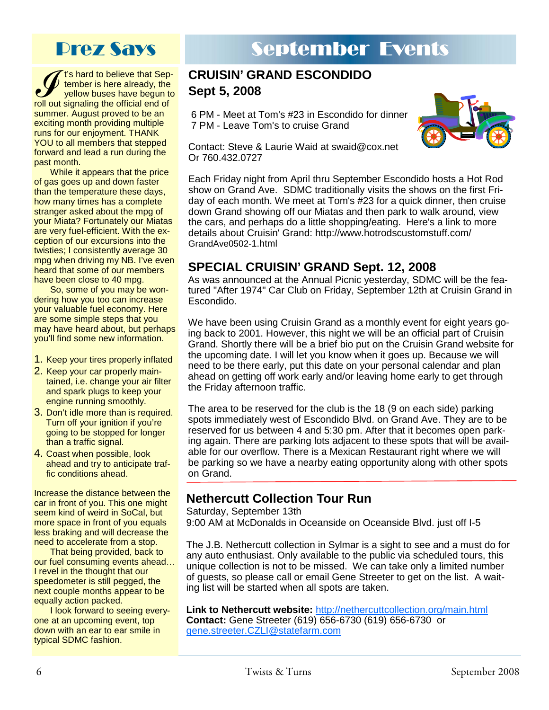## Prez Says

It's hard to believe that September is here already, the yellow buses have begun to roll out signaling the official end of tember is here already, the yellow buses have begun to summer. August proved to be an exciting month providing multiple runs for our enjoyment. THANK YOU to all members that stepped forward and lead a run during the past month.

 While it appears that the price of gas goes up and down faster than the temperature these days, how many times has a complete stranger asked about the mpg of your Miata? Fortunately our Miatas are very fuel-efficient. With the exception of our excursions into the twisties; I consistently average 30 mpg when driving my NB. I've even heard that some of our members have been close to 40 mpg.

 So, some of you may be wondering how you too can increase your valuable fuel economy. Here are some simple steps that you may have heard about, but perhaps you'll find some new information.

- 1. Keep your tires properly inflated
- 2. Keep your car properly maintained, i.e. change your air filter and spark plugs to keep your engine running smoothly.
- 3. Don't idle more than is required. Turn off your ignition if you're going to be stopped for longer than a traffic signal.
- 4. Coast when possible, look ahead and try to anticipate traffic conditions ahead.

Increase the distance between the car in front of you. This one might seem kind of weird in SoCal, but more space in front of you equals less braking and will decrease the need to accelerate from a stop.

 That being provided, back to our fuel consuming events ahead… I revel in the thought that our speedometer is still pegged, the next couple months appear to be equally action packed.

 I look forward to seeing everyone at an upcoming event, top down with an ear to ear smile in typical SDMC fashion.

# September Events

## **CRUISIN' GRAND ESCONDIDO Sept 5, 2008**

 6 PM - Meet at Tom's #23 in Escondido for dinner 7 PM - Leave Tom's to cruise Grand



Contact: Steve & Laurie Waid at swaid@cox.net Or 760.432.0727

Each Friday night from April thru September Escondido hosts a Hot Rod show on Grand Ave. SDMC traditionally visits the shows on the first Friday of each month. We meet at Tom's #23 for a quick dinner, then cruise down Grand showing off our Miatas and then park to walk around, view the cars, and perhaps do a little shopping/eating. Here's a link to more details about Cruisin' Grand: http://www.hotrodscustomstuff.com/ GrandAve0502-1.html

## **SPECIAL CRUISIN' GRAND Sept. 12, 2008**

As was announced at the Annual Picnic yesterday, SDMC will be the featured "After 1974" Car Club on Friday, September 12th at Cruisin Grand in Escondido.

We have been using Cruisin Grand as a monthly event for eight years going back to 2001. However, this night we will be an official part of Cruisin Grand. Shortly there will be a brief bio put on the Cruisin Grand website for the upcoming date. I will let you know when it goes up. Because we will need to be there early, put this date on your personal calendar and plan ahead on getting off work early and/or leaving home early to get through the Friday afternoon traffic.

The area to be reserved for the club is the 18 (9 on each side) parking spots immediately west of Escondido Blvd. on Grand Ave. They are to be reserved for us between 4 and 5:30 pm. After that it becomes open parking again. There are parking lots adjacent to these spots that will be available for our overflow. There is a Mexican Restaurant right where we will be parking so we have a nearby eating opportunity along with other spots on Grand.

## **Nethercutt Collection Tour Run**

Saturday, September 13th 9:00 AM at McDonalds in Oceanside on Oceanside Blvd. just off I-5

The J.B. Nethercutt collection in Sylmar is a sight to see and a must do for any auto enthusiast. Only available to the public via scheduled tours, this unique collection is not to be missed. We can take only a limited number of guests, so please call or email Gene Streeter to get on the list. A waiting list will be started when all spots are taken.

**Link to Nethercutt website:** http://nethercuttcollection.org/main.html **Contact:** Gene Streeter (619) 656-6730 (619) 656-6730 or gene.streeter.CZLI@statefarm.com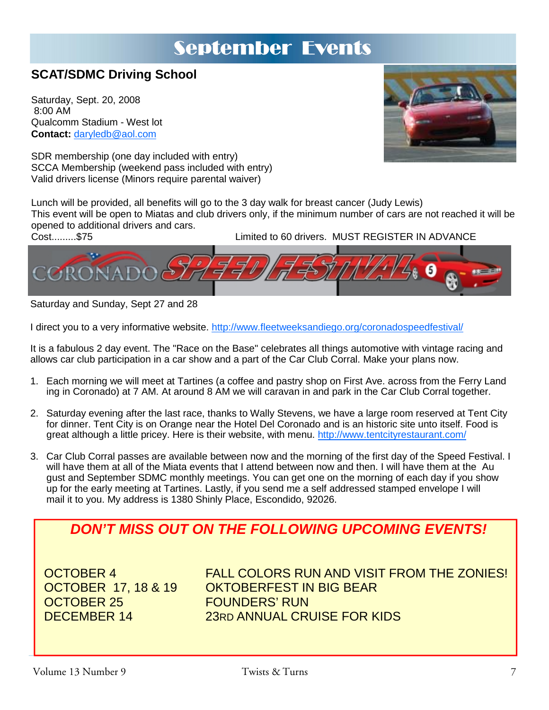## September Events

## **SCAT/SDMC Driving School**

Saturday, Sept. 20, 2008 8:00 AM Qualcomm Stadium - West lot **Contact:** daryledb@aol.com

SDR membership (one day included with entry) SCCA Membership (weekend pass included with entry) Valid drivers license (Minors require parental waiver)

Lunch will be provided, all benefits will go to the 3 day walk for breast cancer (Judy Lewis) This event will be open to Miatas and club drivers only, if the minimum number of cars are not reached it will be opened to additional drivers and cars.

Cost.........\$75 Limited to 60 drivers. MUST REGISTER IN ADVANCE



Saturday and Sunday, Sept 27 and 28

I direct you to a very informative website. http://www.fleetweeksandiego.org/coronadospeedfestival/

It is a fabulous 2 day event. The "Race on the Base" celebrates all things automotive with vintage racing and allows car club participation in a car show and a part of the Car Club Corral. Make your plans now.

- 1. Each morning we will meet at Tartines (a coffee and pastry shop on First Ave. across from the Ferry Land ing in Coronado) at 7 AM. At around 8 AM we will caravan in and park in the Car Club Corral together.
- 2. Saturday evening after the last race, thanks to Wally Stevens, we have a large room reserved at Tent City for dinner. Tent City is on Orange near the Hotel Del Coronado and is an historic site unto itself. Food is great although a little pricey. Here is their website, with menu. http://www.tentcityrestaurant.com/
- 3. Car Club Corral passes are available between now and the morning of the first day of the Speed Festival. I will have them at all of the Miata events that I attend between now and then. I will have them at the Au gust and September SDMC monthly meetings. You can get one on the morning of each day if you show up for the early meeting at Tartines. Lastly, if you send me a self addressed stamped envelope I will mail it to you. My address is 1380 Shinly Place, Escondido, 92026.

## *DON'T MISS OUT ON THE FOLLOWING UPCOMING EVENTS!*

OCTOBER 25 FOUNDERS' RUN

OCTOBER 4 FALL COLORS RUN AND VISIT FROM THE ZONIES! OCTOBER 17, 18 & 19 OKTOBERFEST IN BIG BEAR DECEMBER 14 23RD ANNUAL CRUISE FOR KIDS

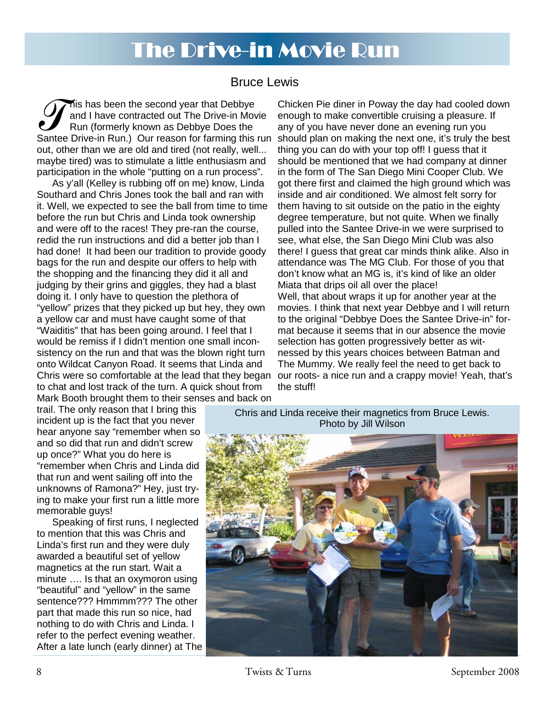# The Drive-in Movie Run

### Bruce Lewis

This has been the second year that Debbye<br>
and I have contracted out The Drive-in Movie<br>
Run (formerly known as Debbye Does the<br>
Santee Drive-in Run.) Our reason for farming this run and I have contracted out The Drive-in Movie Run (formerly known as Debbye Does the out, other than we are old and tired (not really, well... maybe tired) was to stimulate a little enthusiasm and participation in the whole "putting on a run process".

 As y'all (Kelley is rubbing off on me) know, Linda Southard and Chris Jones took the ball and ran with it. Well, we expected to see the ball from time to time before the run but Chris and Linda took ownership and were off to the races! They pre-ran the course, redid the run instructions and did a better job than I had done! It had been our tradition to provide goody bags for the run and despite our offers to help with the shopping and the financing they did it all and judging by their grins and giggles, they had a blast doing it. I only have to question the plethora of "yellow" prizes that they picked up but hey, they own a yellow car and must have caught some of that "Waiditis" that has been going around. I feel that I would be remiss if I didn't mention one small inconsistency on the run and that was the blown right turn onto Wildcat Canyon Road. It seems that Linda and Chris were so comfortable at the lead that they began to chat and lost track of the turn. A quick shout from Mark Booth brought them to their senses and back on

trail. The only reason that I bring this incident up is the fact that you never hear anyone say "remember when so and so did that run and didn't screw up once?" What you do here is "remember when Chris and Linda did that run and went sailing off into the unknowns of Ramona?" Hey, just trying to make your first run a little more memorable guys!

 Speaking of first runs, I neglected to mention that this was Chris and Linda's first run and they were duly awarded a beautiful set of yellow magnetics at the run start. Wait a minute …. Is that an oxymoron using "beautiful" and "yellow" in the same sentence??? Hmmmm??? The other part that made this run so nice, had nothing to do with Chris and Linda. I refer to the perfect evening weather. After a late lunch (early dinner) at The

Chicken Pie diner in Poway the day had cooled down enough to make convertible cruising a pleasure. If any of you have never done an evening run you should plan on making the next one, it's truly the best thing you can do with your top off! I guess that it should be mentioned that we had company at dinner in the form of The San Diego Mini Cooper Club. We got there first and claimed the high ground which was inside and air conditioned. We almost felt sorry for them having to sit outside on the patio in the eighty degree temperature, but not quite. When we finally pulled into the Santee Drive-in we were surprised to see, what else, the San Diego Mini Club was also there! I guess that great car minds think alike. Also in attendance was The MG Club. For those of you that don't know what an MG is, it's kind of like an older Miata that drips oil all over the place! Well, that about wraps it up for another year at the movies. I think that next year Debbye and I will return to the original "Debbye Does the Santee Drive-in" format because it seems that in our absence the movie selection has gotten progressively better as witnessed by this years choices between Batman and The Mummy. We really feel the need to get back to our roots- a nice run and a crappy movie! Yeah, that's the stuff!

Chris and Linda receive their magnetics from Bruce Lewis. Photo by Jill Wilson



8 September 2008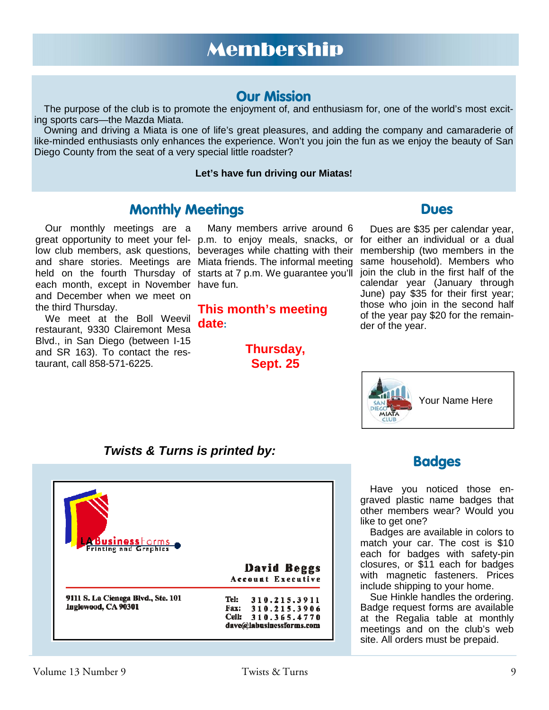## **Our Mission**

The purpose of the club is to promote the enjoyment of, and enthusiasm for, one of the world's most exciting sports cars—the Mazda Miata.

Owning and driving a Miata is one of life's great pleasures, and adding the company and camaraderie of like-minded enthusiasts only enhances the experience. Won't you join the fun as we enjoy the beauty of San Diego County from the seat of a very special little roadster?

#### **Let's have fun driving our Miatas!**

## **Monthly Meetings**

great opportunity to meet your fel- p.m. to enjoy meals, snacks, or for either an individual or a dual held on the fourth Thursday of starts at 7 p.m. We guarantee you'll join the club in the first half of the Our monthly meetings are a low club members, ask questions, beverages while chatting with their and share stories. Meetings are Miata friends. The informal meeting each month, except in November have fun. and December when we meet on the third Thursday.

We meet at the Boll Weevil restaurant, 9330 Clairemont Mesa Blvd., in San Diego (between I-15 and SR 163). To contact the restaurant, call 858-571-6225.

Many members arrive around 6

### **This month's meeting date:**

**Thursday, Sept. 25** 

## **Dues**

Dues are \$35 per calendar year, membership (two members in the same household). Members who calendar year (January through June) pay \$35 for their first year; those who join in the second half of the year pay \$20 for the remainder of the year.



### *Twists & Turns is printed by:*



## **Badges**

Have you noticed those engraved plastic name badges that other members wear? Would you like to get one?

Badges are available in colors to match your car. The cost is \$10 each for badges with safety-pin closures, or \$11 each for badges with magnetic fasteners. Prices include shipping to your home.

Sue Hinkle handles the ordering. Badge request forms are available at the Regalia table at monthly meetings and on the club's web site. All orders must be prepaid.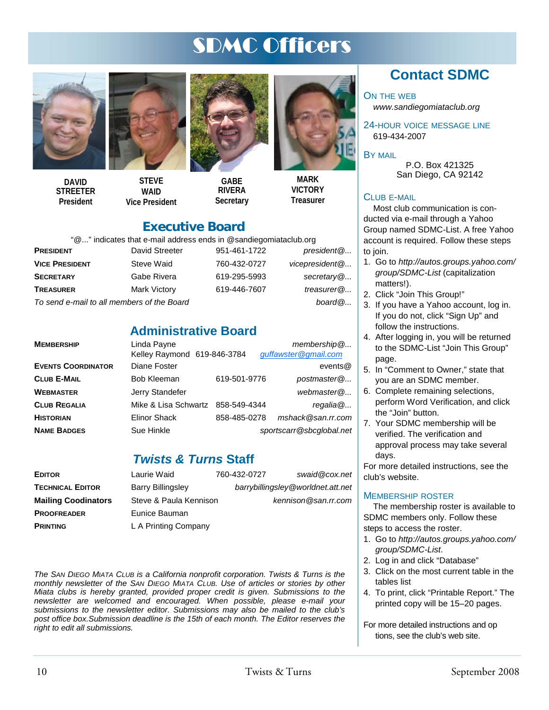# SDMC Officers



**DAVID STREETER President** 



**Vice President** 



**GABE RIVERA Secretary** 



**MARK VICTORY Treasurer** 

## **Executive Board**

"@..." indicates that e-mail address ends in @sandiegomiataclub.org

| <b>PRESIDENT</b>                           | David Streeter      | 951-461-1722 | president@     |
|--------------------------------------------|---------------------|--------------|----------------|
| <b>VICE PRESIDENT</b>                      | Steve Waid          | 760-432-0727 | vicepresident@ |
| <b>SECRETARY</b>                           | Gabe Rivera         | 619-295-5993 | secretary $@$  |
| <b>TREASURER</b>                           | <b>Mark Victory</b> | 619-446-7607 | treasurer@     |
| To send e-mail to all members of the Board |                     |              | board@         |

### **Administrative Board**

| <b>MEMBERSHIP</b>         | Linda Payne                       |              | $m$ embership $@$        |
|---------------------------|-----------------------------------|--------------|--------------------------|
|                           | Kelley Raymond 619-846-3784       |              | guffawster@gmail.com     |
| <b>EVENTS COORDINATOR</b> | Diane Foster                      |              | events $@$               |
| <b>CLUB E-MAIL</b>        | <b>Bob Kleeman</b>                | 619-501-9776 | postmaster@              |
| WEBMASTER                 | Jerry Standefer                   |              | webmaster@               |
| <b>CLUB REGALIA</b>       | Mike & Lisa Schwartz 858-549-4344 |              | regalia@                 |
| <b>HISTORIAN</b>          | <b>Elinor Shack</b>               | 858-485-0278 | mshack@san.rr.com        |
| <b>NAME BADGES</b>        | Sue Hinkle                        |              | sportscarr@sbcglobal.net |

## *Twists & Turns* **Staff**

| <b>EDITOR</b>              | Laurie Waid              | 760-432-0727 | swaid@cox.net                     | יו טווויט<br>club's we |
|----------------------------|--------------------------|--------------|-----------------------------------|------------------------|
| <b>TECHNICAL EDITOR</b>    | <b>Barry Billingsley</b> |              | barrybillingsley@worldnet.att.net |                        |
| <b>Mailing Coodinators</b> | Steve & Paula Kennison   |              | kennison@san.rr.com               | <b>MEMBEI</b><br>The m |
| <b>PROOFREADER</b>         | Eunice Bauman            |              |                                   | SDMC n                 |
| <b>PRINTING</b>            | L A Printing Company     |              |                                   | steps to               |

*The SAN DIEGO MIATA CLUB is a California nonprofit corporation. Twists & Turns is the monthly newsletter of the SAN DIEGO MIATA CLUB. Use of articles or stories by other Miata clubs is hereby granted, provided proper credit is given. Submissions to the newsletter are welcomed and encouraged. When possible, please e-mail your submissions to the newsletter editor. Submissions may also be mailed to the club's post office box.Submission deadline is the 15th of each month. The Editor reserves the right to edit all submissions.* 

## **Contact SDMC**

ON THE WEB *www.sandiegomiataclub.org* 

24-HOUR VOICE MESSAGE LINE 619-434-2007

BY MAIL

P.O. Box 421325 San Diego, CA 92142

#### CLUB E-MAIL

Most club communication is conducted via e-mail through a Yahoo Group named SDMC-List. A free Yahoo account is required. Follow these steps to join.

- 1. Go to *http://autos.groups.yahoo.com/ group/SDMC-List* (capitalization matters!).
- 2. Click "Join This Group!"
- 3. If you have a Yahoo account, log in. If you do not, click "Sign Up" and follow the instructions.
- 4. After logging in, you will be returned to the SDMC-List "Join This Group" page.
- 5. In "Comment to Owner," state that you are an SDMC member.
- 6. Complete remaining selections, perform Word Verification, and click the "Join" button.
- 7. Your SDMC membership will be verified. The verification and approval process may take several days.

For more detailed instructions, see the ebsite.

#### RSHIP ROSTER

nembership roster is available to nembers only. Follow these access the roster.

- 1. Go to *http://autos.groups.yahoo.com/ group/SDMC-List*.
- 2. Log in and click "Database"
- 3. Click on the most current table in the tables list
- 4. To print, click "Printable Report." The printed copy will be 15–20 pages.

For more detailed instructions and op tions, see the club's web site.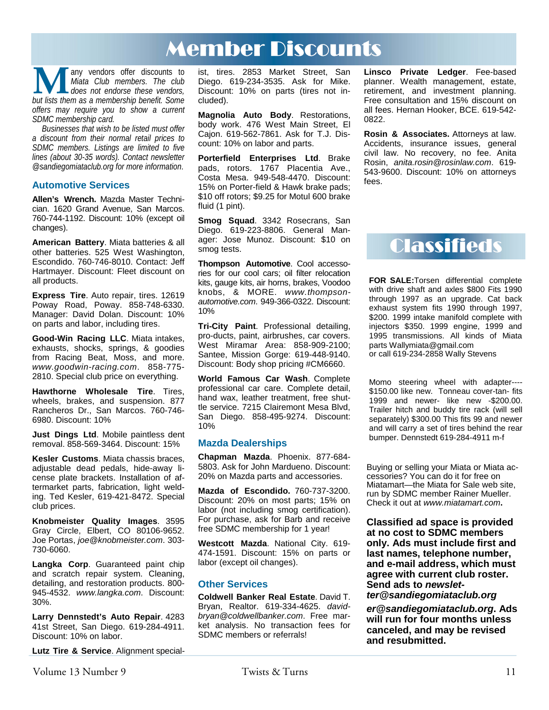# Member Discounts

**M** any vendors offer discounts to *Miata Club members. The club* does not endorse these vendors, but lists them as a membership benefit. Some *Miata Club members. The club does not endorse these vendors, offers may require you to show a current SDMC membership card.* 

*Businesses that wish to be listed must offer a discount from their normal retail prices to SDMC members. Listings are limited to five lines (about 30-35 words). Contact newsletter @sandiegomiataclub.org for more information*.

#### **Automotive Services**

**Allen's Wrench.** Mazda Master Technician. 1620 Grand Avenue, San Marcos. 760-744-1192. Discount: 10% (except oil changes).

**American Battery**. Miata batteries & all other batteries. 525 West Washington, Escondido. 760-746-8010. Contact: Jeff Hartmayer. Discount: Fleet discount on all products.

**Express Tire**. Auto repair, tires. 12619 Poway Road, Poway. 858-748-6330. Manager: David Dolan. Discount: 10% on parts and labor, including tires.

**Good-Win Racing LLC**. Miata intakes, exhausts, shocks, springs, & goodies from Racing Beat, Moss, and more. *www.goodwin-racing.com*. 858-775- 2810. Special club price on everything.

**Hawthorne Wholesale Tire**. Tires, wheels, brakes, and suspension. 877 Rancheros Dr., San Marcos. 760-746- 6980. Discount: 10%

**Just Dings Ltd**. Mobile paintless dent removal. 858-569-3464. Discount: 15%

**Kesler Customs**. Miata chassis braces, adjustable dead pedals, hide-away license plate brackets. Installation of aftermarket parts, fabrication, light welding. Ted Kesler, 619-421-8472. Special club prices.

**Knobmeister Quality Images**. 3595 Gray Circle, Elbert, CO 80106-9652. Joe Portas, *joe@knobmeister.com*. 303- 730-6060.

**Langka Corp**. Guaranteed paint chip and scratch repair system. Cleaning, detailing, and restoration products. 800- 945-4532. *www.langka.com*. Discount: 30%.

**Larry Dennstedt's Auto Repair**. 4283 41st Street, San Diego. 619-284-4911. Discount: 10% on labor.

**Lutz Tire & Service**. Alignment special-

**Magnolia Auto Body**. Restorations, body work. 476 West Main Street, El Cajon. 619-562-7861. Ask for T.J. Discount: 10% on labor and parts.

**Porterfield Enterprises Ltd**. Brake pads, rotors. 1767 Placentia Ave., Costa Mesa. 949-548-4470. Discount: 15% on Porter-field & Hawk brake pads; \$10 off rotors; \$9.25 for Motul 600 brake fluid (1 pint).

**Smog Squad**. 3342 Rosecrans, San Diego. 619-223-8806. General Manager: Jose Munoz. Discount: \$10 on smog tests.

**Thompson Automotive**. Cool accessories for our cool cars; oil filter relocation kits, gauge kits, air horns, brakes, Voodoo knobs, & MORE. *www.thompsonautomotive.com*. 949-366-0322. Discount: 10%

**Tri-City Paint**. Professional detailing, pro-ducts, paint, airbrushes, car covers. West Miramar Area: 858-909-2100; Santee, Mission Gorge: 619-448-9140. Discount: Body shop pricing #CM6660.

**World Famous Car Wash**. Complete professional car care. Complete detail, hand wax, leather treatment, free shuttle service. 7215 Clairemont Mesa Blvd, San Diego. 858-495-9274. Discount: 10%

#### **Mazda Dealerships**

**Chapman Mazda**. Phoenix. 877-684- 5803. Ask for John Mardueno. Discount: 20% on Mazda parts and accessories.

**Mazda of Escondido.** 760-737-3200. Discount: 20% on most parts; 15% on labor (not including smog certification). For purchase, ask for Barb and receive free SDMC membership for 1 year!

**Westcott Mazda**. National City. 619- 474-1591. Discount: 15% on parts or labor (except oil changes).

#### **Other Services**

**Coldwell Banker Real Estate**. David T. Bryan, Realtor. 619-334-4625. *davidbryan@coldwellbanker.com*. Free market analysis. No transaction fees for SDMC members or referrals!

**Linsco Private Ledger**. Fee-based planner. Wealth management, estate, retirement, and investment planning. Free consultation and 15% discount on all fees. Hernan Hooker, BCE. 619-542- 0822.

**Rosin & Associates.** Attorneys at law. Accidents, insurance issues, general civil law. No recovery, no fee. Anita Rosin, *anita.rosin@rosinlaw.com*. 619- 543-9600. Discount: 10% on attorneys  $f_{\mathsf{P}}$ 



**FOR SALE:**Torsen differential complete with drive shaft and axles \$800 Fits 1990 through 1997 as an upgrade. Cat back exhaust system fits 1990 through 1997, \$200. 1999 intake manifold complete with injectors \$350. 1999 engine, 1999 and 1995 transmissions. All kinds of Miata parts Wallymiata@gmail.com or call 619-234-2858 Wally Stevens

Momo steering wheel with adapter---- \$150.00 like new. Tonneau cover-tan- fits 1999 and newer- like new -\$200.00. Trailer hitch and buddy tire rack (will sell separately) \$300.00 This fits 99 and newer and will carry a set of tires behind the rear bumper. Dennstedt 619-284-4911 m-f

Buying or selling your Miata or Miata accessories? You can do it for free on Miatamart—the Miata for Sale web site, run by SDMC member Rainer Mueller. Check it out at *www.miatamart.com***.** 

**Classified ad space is provided at no cost to SDMC members only. Ads must include first and last names, telephone number, and e-mail address, which must agree with current club roster. Send ads to** *newsletter@sandiegomiataclub.org* 

*er@sandiegomiataclub.org***. Ads will run for four months unless canceled, and may be revised and resubmitted.**